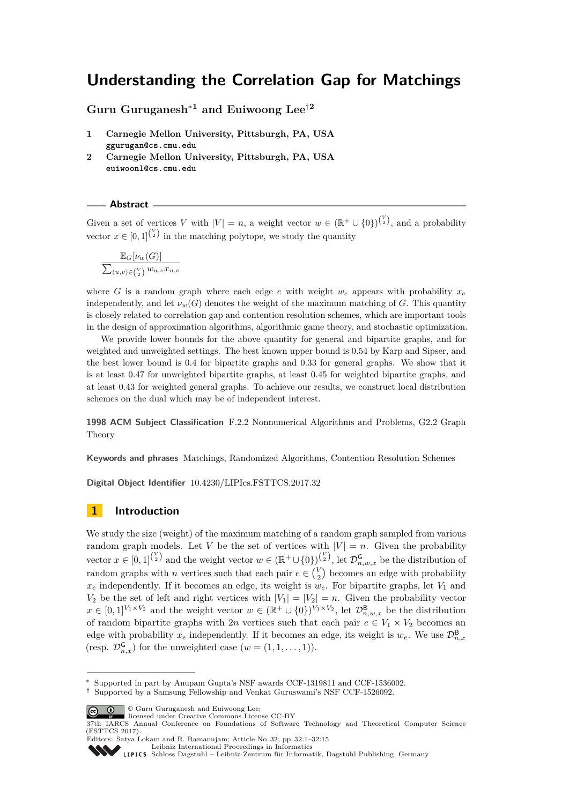# **Understanding the Correlation Gap for Matchings**

**Guru Guruganesh**<sup>∗</sup>**<sup>1</sup> and Euiwoong Lee**†**<sup>2</sup>**

- **1 Carnegie Mellon University, Pittsburgh, PA, USA ggurugan@cs.cmu.edu**
- **2 Carnegie Mellon University, Pittsburgh, PA, USA euiwoonl@cs.cmu.edu**

#### **Abstract**

Given a set of vertices *V* with  $|V| = n$ , a weight vector  $w \in (\mathbb{R}^+ \cup \{0\})^{V \choose 2}$ , and a probability vector  $x \in [0,1]^{V \choose 2}$  in the matching polytope, we study the quantity

$$
\frac{\mathbb{E}_G[\nu_w(G)]}{\sum_{(u,v)\in\binom{V}{2}}w_{u,v}x_{u,v}}
$$

where *G* is a random graph where each edge *e* with weight  $w_e$  appears with probability  $x_e$ independently, and let  $\nu_w(G)$  denotes the weight of the maximum matching of *G*. This quantity is closely related to correlation gap and contention resolution schemes, which are important tools in the design of approximation algorithms, algorithmic game theory, and stochastic optimization.

We provide lower bounds for the above quantity for general and bipartite graphs, and for weighted and unweighted settings. The best known upper bound is 0*.*54 by Karp and Sipser, and the best lower bound is 0*.*4 for bipartite graphs and 0*.*33 for general graphs. We show that it is at least 0*.*47 for unweighted bipartite graphs, at least 0*.*45 for weighted bipartite graphs, and at least 0*.*43 for weighted general graphs. To achieve our results, we construct local distribution schemes on the dual which may be of independent interest.

**1998 ACM Subject Classification** F.2.2 Nonnumerical Algorithms and Problems, G2.2 Graph Theory

**Keywords and phrases** Matchings, Randomized Algorithms, Contention Resolution Schemes

**Digital Object Identifier** [10.4230/LIPIcs.FSTTCS.2017.32](http://dx.doi.org/10.4230/LIPIcs.FSTTCS.2017.32)

## **1 Introduction**

We study the size (weight) of the maximum matching of a random graph sampled from various random graph models. Let *V* be the set of vertices with  $|V| = n$ . Given the probability vector  $x \in [0,1]^{V \choose 2}$  and the weight vector  $w \in (\mathbb{R}^+ \cup \{0\})^{V \choose 2}$ , let  $\mathcal{D}_{n,w,x}^{\mathsf{G}}$  be the distribution of random graphs with *n* vertices such that each pair  $e \in {V \choose 2}$  becomes an edge with probability  $x_e$  independently. If it becomes an edge, its weight is  $w_e$ . For bipartite graphs, let  $V_1$  and  $V_2$  be the set of left and right vertices with  $|V_1| = |V_2| = n$ . Given the probability vector  $x \in [0,1]^{V_1 \times V_2}$  and the weight vector  $w \in (\mathbb{R}^+ \cup \{0\})^{V_1 \times V_2}$ , let  $\mathcal{D}_{n,w,x}^{\mathsf{B}}$  be the distribution of random bipartite graphs with 2*n* vertices such that each pair  $e \in V_1 \times V_2$  becomes an edge with probability  $x_e$  independently. If it becomes an edge, its weight is  $w_e$ . We use  $\mathcal{D}_{n,x}^{\mathsf{B}}$ (resp.  $\mathcal{D}_{n,x}^{\mathsf{G}}$ ) for the unweighted case  $(w = (1, 1, \ldots, 1)).$ 

© Guru Guruganesh and Euiwoong Lee;

Supported in part by Anupam Gupta's NSF awards CCF-1319811 and CCF-1536002.

<sup>†</sup> Supported by a Samsung Fellowship and Venkat Guruswami's NSF CCF-1526092.

licensed under Creative Commons License CC-BY

<sup>37</sup>th IARCS Annual Conference on Foundations of Software Technology and Theoretical Computer Science (FSTTCS 2017).

Editors: Satya Lokam and R. Ramanujam; Article No. 32; pp. 32:1–32[:15](#page-14-0) [Leibniz International Proceedings in Informatics](http://www.dagstuhl.de/lipics/)

[Schloss Dagstuhl – Leibniz-Zentrum für Informatik, Dagstuhl Publishing, Germany](http://www.dagstuhl.de)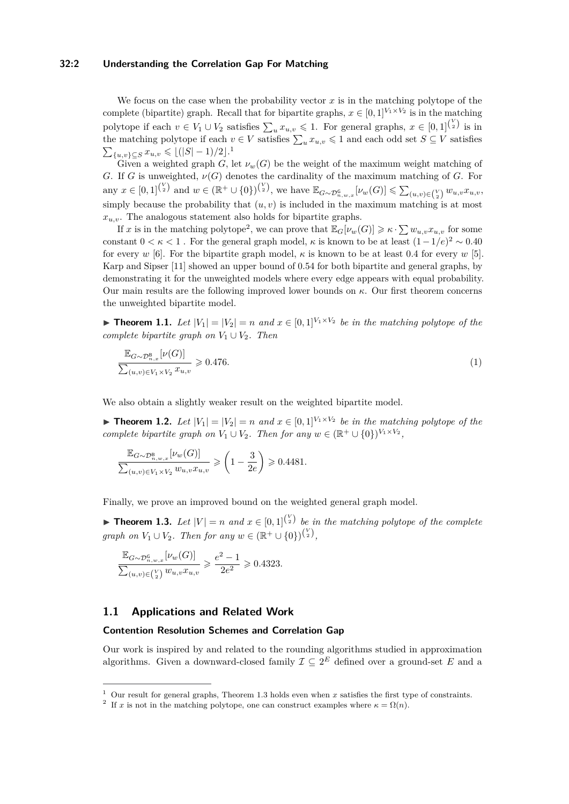## **32:2 Understanding the Correlation Gap For Matching**

We focus on the case when the probability vector  $x$  is in the matching polytope of the complete (bipartite) graph. Recall that for bipartite graphs,  $x \in [0,1]^{V_1 \times V_2}$  is in the matching polytope if each  $v \in V_1 \cup V_2$  satisfies  $\sum_u x_{u,v} \leq 1$ . For general graphs,  $x \in [0,1]^{V_2}$  is in the matching polytope if each  $v \in V$  satisfies  $\sum_{u} x_{u,v} \leq 1$  and each odd set  $S \subseteq V$  satisfies  $\sum_{\{u,v\} \subseteq S} x_{u,v} \leqslant \lfloor (|S| - 1)/2 \rfloor$  $\sum_{\{u,v\} \subseteq S} x_{u,v} \leqslant \lfloor (|S| - 1)/2 \rfloor$  $\sum_{\{u,v\} \subseteq S} x_{u,v} \leqslant \lfloor (|S| - 1)/2 \rfloor$ .<sup>1</sup>

Given a weighted graph *G*, let  $\nu_w(G)$  be the weight of the maximum weight matching of *G*. If *G* is unweighted,  $\nu(G)$  denotes the cardinality of the maximum matching of *G*. For  $\mathbb{E}_{G} \sim \mathcal{D}_{n,w,x}^{\mathbb{C}}[v,w] \leq \sum_{(u,v) \in {V \choose 2}} w_{u,v} x_{u,v}$ ,  $w_{u,v} \in \mathbb{R}^{d}$  and  $w \in (\mathbb{R}^{+} \cup \{0\})^{V \choose 2}$ , we have  $\mathbb{E}_{G} \sim \mathcal{D}_{n,w,x}^{\mathbb{C}}[v,w] \leq \sum_{(u,v) \in {V \choose 2}} w_{u,v} x_{u,v}$ , simply because the probability that  $(u, v)$  is included in the maximum matching is at most  $x_{u,v}$ . The analogous statement also holds for bipartite graphs.

If *x* is in the matching polytope<sup>[2](#page-1-1)</sup>, we can prove that  $\mathbb{E}_G[\nu_w(G)] \geq \kappa \cdot \sum w_{u,v} x_{u,v}$  for some constant  $0 < \kappa < 1$ . For the general graph model,  $\kappa$  is known to be at least  $(1 - 1/e)^2 \sim 0.40$ for every *w* [\[6\]](#page-14-1). For the bipartite graph model,  $\kappa$  is known to be at least 0.4 for every *w* [\[5\]](#page-14-2). Karp and Sipser [\[11\]](#page-14-3) showed an upper bound of 0*.*54 for both bipartite and general graphs, by demonstrating it for the unweighted models where every edge appears with equal probability. Our main results are the following improved lower bounds on *κ*. Our first theorem concerns the unweighted bipartite model.

▶ **Theorem 1.1.** *Let*  $|V_1| = |V_2| = n$  *and*  $x \in [0, 1]^{V_1 \times V_2}$  *be in the matching polytope of the complete bipartite graph on*  $V_1 \cup V_2$ *. Then* 

<span id="page-1-4"></span>
$$
\frac{\mathbb{E}_{G \sim \mathcal{D}_{n,x}^{\mathcal{B}}}[\nu(G)]}{\sum_{(u,v) \in V_1 \times V_2} x_{u,v}} \geqslant 0.476. \tag{1}
$$

We also obtain a slightly weaker result on the weighted bipartite model.

<span id="page-1-3"></span>▶ **Theorem 1.2.** *Let*  $|V_1| = |V_2| = n$  *and*  $x \in [0, 1]^{V_1 \times V_2}$  *be in the matching polytope of the complete bipartite graph on*  $V_1 \cup V_2$ *. Then for any*  $w \in (\mathbb{R}^+ \cup \{0\})^{V_1 \times V_2}$ ,

$$
\frac{\mathbb{E}_{G \sim \mathcal{D}_{n,w,x}^{\mathcal{B}}}[ \nu_w(G)]}{\sum_{(u,v) \in V_1 \times V_2} w_{u,v} x_{u,v}} \geqslant \left(1 - \frac{3}{2e}\right) \geqslant 0.4481.
$$

Finally, we prove an improved bound on the weighted general graph model.

<span id="page-1-2"></span>**Theorem 1.3.** Let  $|V| = n$  and  $x \in [0,1]^{V \choose 2}$  be in the matching polytope of the complete *graph on*  $V_1 \cup V_2$ *. Then for any*  $w \in (\mathbb{R}^+ \cup \{0\})^{\binom{V}{2}}$ *,* 

$$
\frac{\mathbb{E}_{G \sim \mathcal{D}_{n,w,x}^{\mathsf{G}}}\left[\nu_w(G)\right]}{\sum_{(u,v) \in \binom{V}{2}} w_{u,v} x_{u,v}} \geqslant \frac{e^2-1}{2e^2} \geqslant 0.4323.
$$

## **1.1 Applications and Related Work**

## **Contention Resolution Schemes and Correlation Gap**

Our work is inspired by and related to the rounding algorithms studied in approximation algorithms. Given a downward-closed family  $\mathcal{I} \subseteq 2^E$  defined over a ground-set E and a

<span id="page-1-0"></span><sup>1</sup> Our result for general graphs, Theorem [1.3](#page-1-2) holds even when *x* satisfies the first type of constraints.

<span id="page-1-1"></span><sup>&</sup>lt;sup>2</sup> If *x* is not in the matching polytope, one can construct examples where  $\kappa = \Omega(n)$ .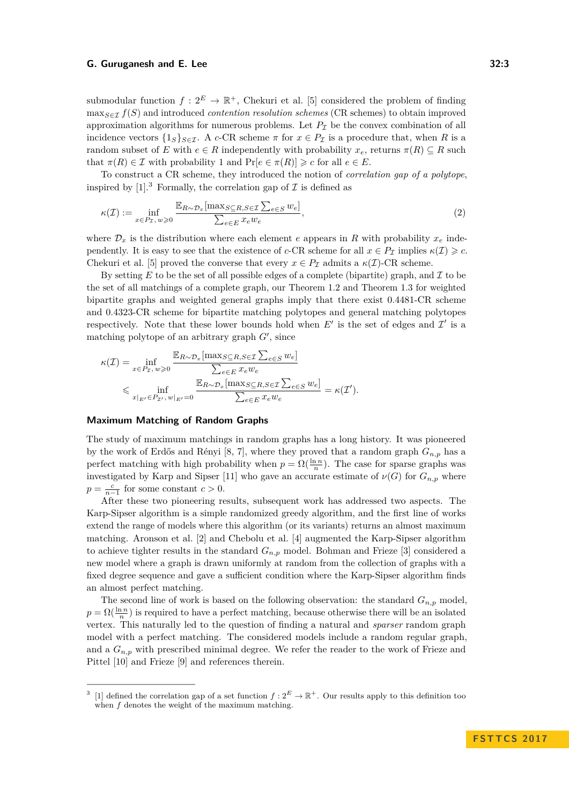submodular function  $f: 2^E \to \mathbb{R}^+$ , Chekuri et al. [\[5\]](#page-14-2) considered the problem of finding  $\max_{S \in \mathcal{I}} f(S)$  and introduced *contention resolution schemes* (CR schemes) to obtain improved approximation algorithms for numerous problems. Let  $P<sub>I</sub>$  be the convex combination of all incidence vectors  $\{1_S\}_{S \in \mathcal{I}}$ . A *c*-CR scheme  $\pi$  for  $x \in P_{\mathcal{I}}$  is a procedure that, when *R* is a random subset of *E* with  $e \in R$  independently with probability  $x_e$ , returns  $\pi(R) \subseteq R$  such that  $\pi(R) \in \mathcal{I}$  with probability 1 and  $\Pr[e \in \pi(R)] \geq c$  for all  $e \in E$ .

To construct a CR scheme, they introduced the notion of *correlation gap of a polytope*, inspired by  $[1]^3$  $[1]^3$  $[1]^3$  Formally, the correlation gap of  $\mathcal I$  is defined as

$$
\kappa(\mathcal{I}) := \inf_{x \in P_{\mathcal{I}}, w \geqslant 0} \frac{\mathbb{E}_{R \sim \mathcal{D}_x}[\max_{S \subseteq R, S \in \mathcal{I}} \sum_{e \in S} w_e]}{\sum_{e \in E} x_e w_e},\tag{2}
$$

where  $\mathcal{D}_x$  is the distribution where each element *e* appears in *R* with probability  $x_e$  independently. It is easy to see that the existence of *c*-CR scheme for all  $x \in P_\mathcal{I}$  implies  $\kappa(\mathcal{I}) \geq c$ . Chekuri et al. [\[5\]](#page-14-2) proved the converse that every  $x \in P_\mathcal{I}$  admits a  $\kappa(\mathcal{I})$ -CR scheme.

By setting  $E$  to be the set of all possible edges of a complete (bipartite) graph, and  $\mathcal I$  to be the set of all matchings of a complete graph, our Theorem [1.2](#page-1-3) and Theorem [1.3](#page-1-2) for weighted bipartite graphs and weighted general graphs imply that there exist 0*.*4481-CR scheme and 0*.*4323-CR scheme for bipartite matching polytopes and general matching polytopes respectively. Note that these lower bounds hold when  $E'$  is the set of edges and  $\mathcal{I}'$  is a matching polytope of an arbitrary graph  $G'$ , since

$$
\kappa(\mathcal{I}) = \inf_{x \in P_{\mathcal{I}}, w \ge 0} \frac{\mathbb{E}_{R \sim \mathcal{D}_x}[\max_{S \subseteq R, S \in \mathcal{I}} \sum_{e \in S} w_e]}{\sum_{e \in E} x_e w_e}
$$
  
\$\le\$ 
$$
\inf_{x|_{E'} \in P_{\mathcal{I}'}, w|_{E'} = 0} \frac{\mathbb{E}_{R \sim \mathcal{D}_x}[\max_{S \subseteq R, S \in \mathcal{I}} \sum_{e \in S} w_e]}{\sum_{e \in E} x_e w_e} = \kappa(\mathcal{I}').
$$

#### **Maximum Matching of Random Graphs**

The study of maximum matchings in random graphs has a long history. It was pioneered by the work of Erdős and Rényi [\[8,](#page-14-4) [7\]](#page-14-5), where they proved that a random graph  $G_{n,p}$  has a perfect matching with high probability when  $p = \Omega(\frac{\ln n}{n})$ . The case for sparse graphs was investigated by Karp and Sipser [\[11\]](#page-14-3) who gave an accurate estimate of  $\nu(G)$  for  $G_{n,p}$  where  $p = \frac{c}{n-1}$  for some constant  $c > 0$ .

After these two pioneering results, subsequent work has addressed two aspects. The Karp-Sipser algorithm is a simple randomized greedy algorithm, and the first line of works extend the range of models where this algorithm (or its variants) returns an almost maximum matching. Aronson et al. [\[2\]](#page-13-1) and Chebolu et al. [\[4\]](#page-14-6) augmented the Karp-Sipser algorithm to achieve tighter results in the standard  $G_{n,p}$  model. Bohman and Frieze [\[3\]](#page-14-7) considered a new model where a graph is drawn uniformly at random from the collection of graphs with a fixed degree sequence and gave a sufficient condition where the Karp-Sipser algorithm finds an almost perfect matching.

The second line of work is based on the following observation: the standard  $G_{n,p}$  model,  $p = \Omega(\frac{\ln n}{n})$  is required to have a perfect matching, because otherwise there will be an isolated vertex. This naturally led to the question of finding a natural and *sparser* random graph model with a perfect matching. The considered models include a random regular graph, and a  $G_{n,p}$  with prescribed minimal degree. We refer the reader to the work of Frieze and Pittel [\[10\]](#page-14-8) and Frieze [\[9\]](#page-14-9) and references therein.

<span id="page-2-0"></span><sup>3</sup> [\[1\]](#page-13-0) defined the correlation gap of a set function  $f: 2^E \to \mathbb{R}^+$ . Our results apply to this definition too when *f* denotes the weight of the maximum matching.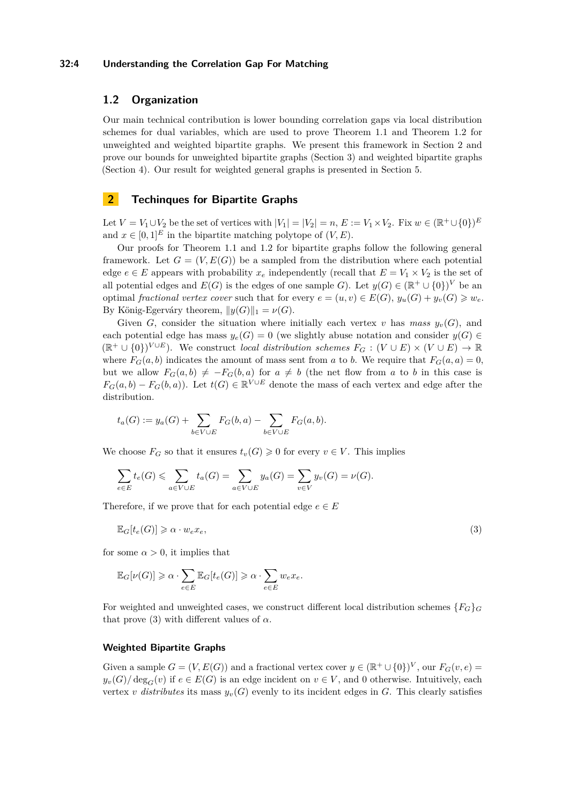## **32:4 Understanding the Correlation Gap For Matching**

## **1.2 Organization**

Our main technical contribution is lower bounding correlation gaps via local distribution schemes for dual variables, which are used to prove Theorem [1.1](#page-1-4) and Theorem [1.2](#page-1-3) for unweighted and weighted bipartite graphs. We present this framework in Section [2](#page-3-0) and prove our bounds for unweighted bipartite graphs (Section [3\)](#page-4-0) and weighted bipartite graphs (Section [4\)](#page-7-0). Our result for weighted general graphs is presented in Section [5.](#page-12-0)

## <span id="page-3-0"></span>**2 Techinques for Bipartite Graphs**

Let  $V = V_1 \cup V_2$  be the set of vertices with  $|V_1| = |V_2| = n$ ,  $E := V_1 \times V_2$ . Fix  $w \in (\mathbb{R}^+ \cup \{0\})^E$ and  $x \in [0, 1]^E$  in the bipartite matching polytope of  $(V, E)$ .

Our proofs for Theorem [1.1](#page-1-4) and [1.2](#page-1-3) for bipartite graphs follow the following general framework. Let  $G = (V, E(G))$  be a sampled from the distribution where each potential edge  $e \in E$  appears with probability  $x_e$  independently (recall that  $E = V_1 \times V_2$  is the set of all potential edges and  $E(G)$  is the edges of one sample *G*). Let  $y(G) \in (\mathbb{R}^+ \cup \{0\})^V$  be an optimal *fractional vertex cover* such that for every  $e = (u, v) \in E(G)$ ,  $y_u(G) + y_v(G) \geq w_e$ . By König-Egerváry theorem,  $||y(G)||_1 = \nu(G)$ .

Given *G*, consider the situation where initially each vertex *v* has *mass*  $y_v(G)$ , and each potential edge has mass  $y_e(G) = 0$  (we slightly abuse notation and consider  $y(G) \in$  $(\mathbb{R}^+ \cup \{0\})^{V \cup E}$ . We construct *local distribution schemes*  $F_G : (V \cup E) \times (V \cup E) \to \mathbb{R}$ where  $F_G(a, b)$  indicates the amount of mass sent from *a* to *b*. We require that  $F_G(a, a) = 0$ , but we allow  $F_G(a, b) \neq -F_G(b, a)$  for  $a \neq b$  (the net flow from *a* to *b* in this case is  $F_G(a, b) - F_G(b, a)$ ). Let  $t(G) \in \mathbb{R}^{V \cup E}$  denote the mass of each vertex and edge after the distribution.

$$
t_a(G) := y_a(G) + \sum_{b \in V \cup E} F_G(b, a) - \sum_{b \in V \cup E} F_G(a, b).
$$

We choose  $F_G$  so that it ensures  $t_v(G) \geq 0$  for every  $v \in V$ . This implies

$$
\sum_{e \in E} t_e(G) \leqslant \sum_{a \in V \cup E} t_a(G) = \sum_{a \in V \cup E} y_a(G) = \sum_{v \in V} y_v(G) = \nu(G).
$$

Therefore, if we prove that for each potential edge  $e \in E$ 

<span id="page-3-1"></span>
$$
\mathbb{E}_G[t_e(G)] \geq \alpha \cdot w_e x_e,\tag{3}
$$

for some  $\alpha > 0$ , it implies that

$$
\mathbb{E}_G[\nu(G)] \geq \alpha \cdot \sum_{e \in E} \mathbb{E}_G[t_e(G)] \geq \alpha \cdot \sum_{e \in E} w_e x_e.
$$

For weighted and unweighted cases, we construct different local distribution schemes  ${F_G}_{G}$ that prove [\(3\)](#page-3-1) with different values of  $\alpha$ .

#### **Weighted Bipartite Graphs**

Given a sample  $G = (V, E(G))$  and a fractional vertex cover  $y \in (\mathbb{R}^+ \cup \{0\})^V$ , our  $F_G(v, e) =$  $y_v(G)/\deg_G(v)$  if  $e \in E(G)$  is an edge incident on  $v \in V$ , and 0 otherwise. Intuitively, each vertex *v* distributes its mass  $y_v(G)$  evenly to its incident edges in *G*. This clearly satisfies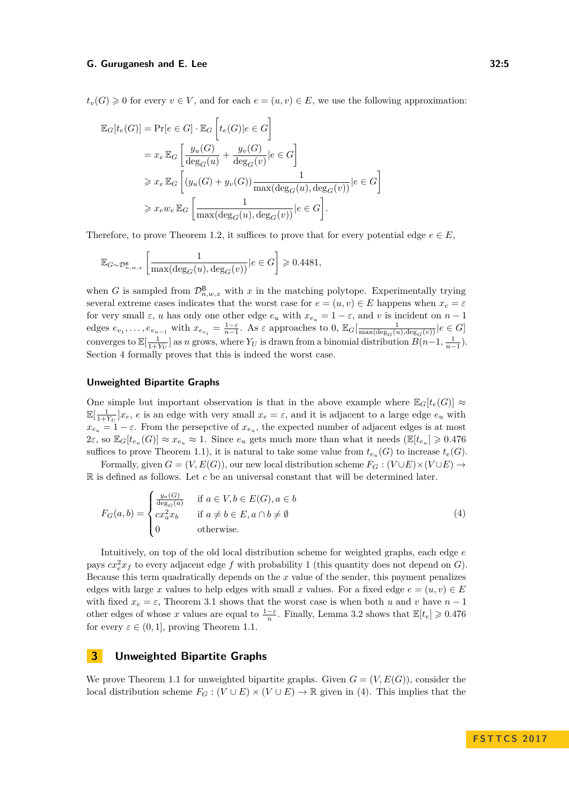$t_v(G) \geq 0$  for every  $v \in V$ , and for each  $e = (u, v) \in E$ , we use the following approximation:

$$
\mathbb{E}_{G}[t_{e}(G)] = \Pr[e \in G] \cdot \mathbb{E}_{G} \left[ t_{e}(G) | e \in G \right]
$$
  
\n
$$
= x_{e} \mathbb{E}_{G} \left[ \frac{y_{u}(G)}{\deg_{G}(u)} + \frac{y_{v}(G)}{\deg_{G}(v)} | e \in G \right]
$$
  
\n
$$
\geq x_{e} \mathbb{E}_{G} \left[ (y_{u}(G) + y_{v}(G)) \frac{1}{\max(\deg_{G}(u), \deg_{G}(v))} | e \in G \right]
$$
  
\n
$$
\geq x_{e} w_{e} \mathbb{E}_{G} \left[ \frac{1}{\max(\deg_{G}(u), \deg_{G}(v))} | e \in G \right].
$$

Therefore, to prove Theorem [1.2,](#page-1-3) it suffices to prove that for every potential edge  $e \in E$ ,

$$
\mathbb{E}_{G \sim \mathcal{D}_{n,w,x}^{\mathsf{B}}} \left[ \frac{1}{\max(\deg_G(u), \deg_G(v))} \big| e \in G \right] \geq 0.4481,
$$

when *G* is sampled from  $\mathcal{D}_{n,w,x}^{\mathsf{B}}$  with *x* in the matching polytope. Experimentally trying several extreme cases indicates that the worst case for  $e = (u, v) \in E$  happens when  $x_e = \varepsilon$ for very small  $\varepsilon$ , *u* has only one other edge  $e_u$  with  $x_{e_u} = 1 - \varepsilon$ , and *v* is incident on  $n - 1$ edges  $e_{v_1}, \ldots, e_{v_{n-1}}$  with  $x_{e_{v_i}} = \frac{1-\varepsilon}{n-1}$ . As  $\varepsilon$  approaches to  $0, \mathbb{E}_G\left[\frac{1}{\max(\deg_G(u), \deg_G(v))}\big| e \in G\right]$ converges to  $\mathbb{E}[\frac{1}{1+Y_U}]$  as *n* grows, where  $Y_U$  is drawn from a binomial distribution  $B(n-1, \frac{1}{n-1})$ . Section [4](#page-7-0) formally proves that this is indeed the worst case.

#### **Unweighted Bipartite Graphs**

One simple but important observation is that in the above example where  $\mathbb{E}_G[t_e(G)] \approx$  $\mathbb{E}[\frac{1}{1+Y_U}]x_e$ , *e* is an edge with very small  $x_e = \varepsilon$ , and it is adjacent to a large edge  $e_u$  with  $x_{e_u} = 1 - \varepsilon$ . From the persepctive of  $x_{e_u}$ , the expected number of adjacent edges is at most  $2\varepsilon$ , so  $\mathbb{E}_G[t_{e_u}(G)] \approx x_{e_u} \approx 1$ . Since  $e_u$  gets much more than what it needs  $(\mathbb{E}[t_{e_u}] \geq 0.476$ suffices to prove Theorem [1.1\)](#page-1-4), it is natural to take some value from  $t_{e_u}(G)$  to increase  $t_e(G)$ .

Formally, given  $G = (V, E(G))$ , our new local distribution scheme  $F_G : (V \cup E) \times (V \cup E) \rightarrow$ R is defined as follows. Let *c* be an universal constant that will be determined later.

<span id="page-4-1"></span>
$$
F_G(a,b) = \begin{cases} \frac{y_a(G)}{\deg_G(a)} & \text{if } a \in V, b \in E(G), a \in b \\ cx_a^2 x_b & \text{if } a \neq b \in E, a \cap b \neq \emptyset \\ 0 & \text{otherwise.} \end{cases}
$$
(4)

Intuitively, on top of the old local distribution scheme for weighted graphs, each edge *e* pays  $cx_e^2x_f$  to every adjacent edge  $f$  with probability 1 (this quantity does not depend on  $G$ ). Because this term quadratically depends on the *x* value of the sender, this payment penalizes edges with large *x* values to help edges with small *x* values. For a fixed edge  $e = (u, v) \in E$ with fixed  $x_e = \varepsilon$ , Theorem [3.1](#page-5-0) shows that the worst case is when both *u* and *v* have  $n-1$ other edges of whose *x* values are equal to  $\frac{1-\varepsilon}{n}$ . Finally, Lemma [3.2](#page-7-1) shows that  $\mathbb{E}[t_e] \geq 0.476$ for every  $\varepsilon \in (0,1]$ , proving Theorem [1.1.](#page-1-4)

## <span id="page-4-0"></span>**3 Unweighted Bipartite Graphs**

We prove Theorem [1.1](#page-1-4) for unweighted bipartite graphs. Given  $G = (V, E(G))$ , consider the local distribution scheme  $F_G$ :  $(V \cup E) \times (V \cup E) \rightarrow \mathbb{R}$  given in [\(4\)](#page-4-1). This implies that the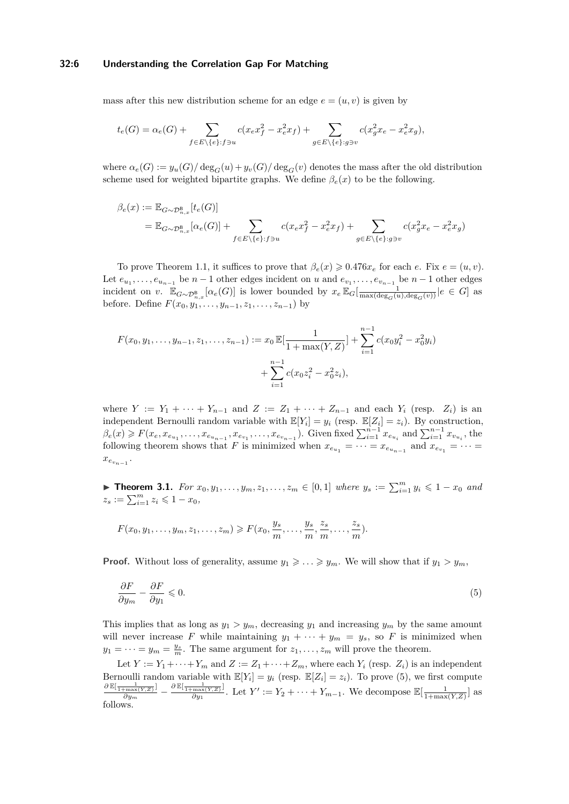#### **32:6 Understanding the Correlation Gap For Matching**

mass after this new distribution scheme for an edge  $e = (u, v)$  is given by

$$
t_e(G) = \alpha_e(G) + \sum_{f \in E \setminus \{e\}: f \ni u} c(x_e x_f^2 - x_e^2 x_f) + \sum_{g \in E \setminus \{e\}: g \ni v} c(x_g^2 x_e - x_e^2 x_g),
$$

where  $\alpha_e(G) := y_u(G)/\deg_G(u) + y_v(G)/\deg_G(v)$  denotes the mass after the old distribution scheme used for weighted bipartite graphs. We define  $\beta_e(x)$  to be the following.

$$
\beta_e(x) := \mathbb{E}_{G \sim \mathcal{D}_{n,x}^{\mathcal{B}}}[t_e(G)]
$$
  
=  $\mathbb{E}_{G \sim \mathcal{D}_{n,x}^{\mathcal{B}}}[{\alpha_e(G)}] + \sum_{f \in E \setminus \{e\}: f \ni u} c(x_e x_f^2 - x_e^2 x_f) + \sum_{g \in E \setminus \{e\}: g \ni v} c(x_g^2 x_e - x_e^2 x_g)$ 

To prove Theorem [1.1,](#page-1-4) it suffices to prove that  $\beta_e(x) \geq 0.476x_e$  for each *e*. Fix  $e = (u, v)$ . Let  $e_{u_1}, \ldots, e_{u_{n-1}}$  be  $n-1$  other edges incident on  $u$  and  $e_{v_1}, \ldots, e_{v_{n-1}}$  be  $n-1$  other edges incident on *v*.  $\mathbb{E}_{G \sim \mathcal{D}_{n,x}^{\mathcal{B}}}[\alpha_e(G)]$  is lower bounded by  $x_e \mathbb{E}_G[\frac{1}{\max(\deg_G(u), \deg_G(v))}|e \in G]$  as before. Define  $F(x_0, y_1, \ldots, y_{n-1}, z_1, \ldots, z_{n-1})$  by

$$
F(x_0, y_1, \dots, y_{n-1}, z_1, \dots, z_{n-1}) := x_0 \mathbb{E}[\frac{1}{1 + \max(Y, Z)}] + \sum_{i=1}^{n-1} c(x_0 y_i^2 - x_0^2 y_i)
$$

$$
+ \sum_{i=1}^{n-1} c(x_0 z_i^2 - x_0^2 z_i),
$$

where  $Y := Y_1 + \cdots + Y_{n-1}$  and  $Z := Z_1 + \cdots + Z_{n-1}$  and each  $Y_i$  (resp.  $Z_i$ ) is an independent Bernoulli random variable with  $\mathbb{E}[Y_i] = y_i$  (resp.  $\mathbb{E}[Z_i] = z_i$ ). By construction,  $\beta_e(x) \geq F(x_e, x_{e_{u_1}}, \ldots, x_{e_{u_{n-1}}}, x_{e_{v_1}}, \ldots, x_{e_{v_{n-1}}})$ . Given fixed  $\sum_{i=1}^{n-1} x_{e_{u_i}}$  and  $\sum_{i=1}^{n-1} x_{v_{u_i}}$ , the following theorem shows that *F* is minimized when  $x_{e_{u_1}} = \cdots = x_{e_{u_{n-1}}}$  and  $x_{e_{v_1}} = \cdots =$  $x_{e_{v_{n-1}}}$ .

<span id="page-5-0"></span>**Theorem 3.1.** For  $x_0, y_1, \ldots, y_m, z_1, \ldots, z_m \in [0,1]$  where  $y_s := \sum_{i=1}^m y_i \leq 1 - x_0$  and  $z_s := \sum_{i=1}^m z_i \leq 1 - x_0,$ 

$$
F(x_0, y_1, \ldots, y_m, z_1, \ldots, z_m) \geqslant F(x_0, \frac{y_s}{m}, \ldots, \frac{y_s}{m}, \frac{z_s}{m}, \ldots, \frac{z_s}{m}).
$$

**Proof.** Without loss of generality, assume  $y_1 \geq \ldots \geq y_m$ . We will show that if  $y_1 > y_m$ ,

<span id="page-5-1"></span>
$$
\frac{\partial F}{\partial y_m} - \frac{\partial F}{\partial y_1} \leqslant 0. \tag{5}
$$

This implies that as long as  $y_1 > y_m$ , decreasing  $y_1$  and increasing  $y_m$  by the same amount will never increase *F* while maintaining  $y_1 + \cdots + y_m = y_s$ , so *F* is minimized when  $y_1 = \cdots = y_m = \frac{y_s}{m}$ . The same argument for  $z_1, \ldots, z_m$  will prove the theorem.

Let  $Y := Y_1 + \cdots + Y_m$  and  $Z := Z_1 + \cdots + Z_m$ , where each  $Y_i$  (resp.  $Z_i$ ) is an independent Bernoulli random variable with  $\mathbb{E}[Y_i] = y_i$  (resp.  $\mathbb{E}[Z_i] = z_i$ ). To prove [\(5\)](#page-5-1), we first compute  $\partial \mathbb{E}[\frac{1}{1+\max(Y,Z)}]$  $\frac{1}{\beta y_m} - \frac{\partial \mathbb{E}[\frac{1}{1+\max(Y,Z)}]}{\partial y_1}$  $\frac{\max(Y,Z)}{\partial y_1}$ . Let *Y'* := *Y*<sub>2</sub> + · · · + *Y<sub>m−1</sub>*. We decompose  $\mathbb{E}[\frac{1}{1+\max(Y,Z)}]$  as follows.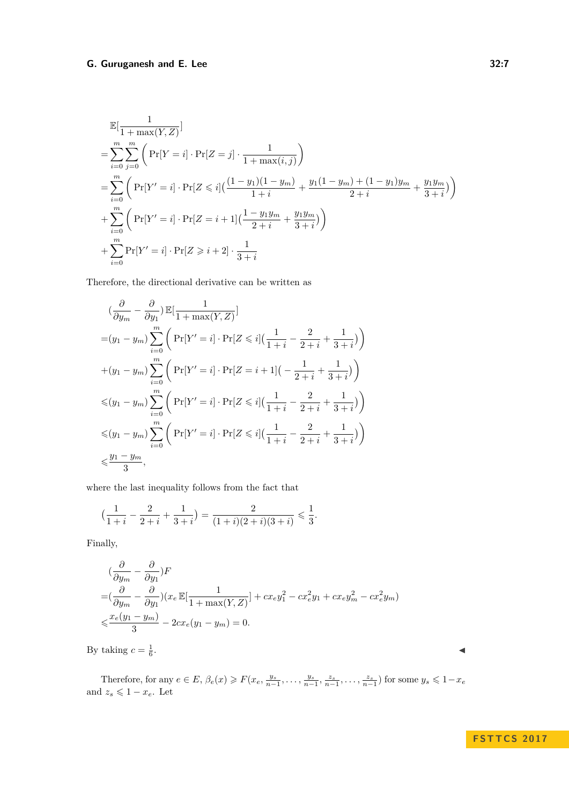$$
\mathbb{E}[\frac{1}{1 + \max(Y, Z)}]
$$
\n
$$
= \sum_{i=0}^{m} \sum_{j=0}^{m} \left( \Pr[Y=i] \cdot \Pr[Z=j] \cdot \frac{1}{1 + \max(i,j)} \right)
$$
\n
$$
= \sum_{i=0}^{m} \left( \Pr[Y'=i] \cdot \Pr[Z \le i] \left( \frac{(1 - y_1)(1 - y_m)}{1 + i} + \frac{y_1(1 - y_m) + (1 - y_1)y_m}{2 + i} + \frac{y_1y_m}{3 + i} \right) \right)
$$
\n
$$
+ \sum_{i=0}^{m} \left( \Pr[Y'=i] \cdot \Pr[Z=i+1] \left( \frac{1 - y_1y_m}{2 + i} + \frac{y_1y_m}{3 + i} \right) \right)
$$
\n
$$
+ \sum_{i=0}^{m} \Pr[Y'=i] \cdot \Pr[Z \ge i+2] \cdot \frac{1}{3 + i}
$$

Therefore, the directional derivative can be written as

$$
\left(\frac{\partial}{\partial y_m} - \frac{\partial}{\partial y_1}\right) \mathbb{E}\left[\frac{1}{1 + \max(Y, Z)}\right]
$$
  
\n
$$
= (y_1 - y_m) \sum_{i=0}^m \left( \Pr[Y' = i] \cdot \Pr[Z \le i] \left(\frac{1}{1 + i} - \frac{2}{2 + i} + \frac{1}{3 + i}\right) \right)
$$
  
\n
$$
+ (y_1 - y_m) \sum_{i=0}^m \left( \Pr[Y' = i] \cdot \Pr[Z = i + 1] \left(-\frac{1}{2 + i} + \frac{1}{3 + i}\right) \right)
$$
  
\n
$$
\le (y_1 - y_m) \sum_{i=0}^m \left( \Pr[Y' = i] \cdot \Pr[Z \le i] \left(\frac{1}{1 + i} - \frac{2}{2 + i} + \frac{1}{3 + i}\right) \right)
$$
  
\n
$$
\le (y_1 - y_m) \sum_{i=0}^m \left( \Pr[Y' = i] \cdot \Pr[Z \le i] \left(\frac{1}{1 + i} - \frac{2}{2 + i} + \frac{1}{3 + i}\right) \right)
$$
  
\n
$$
\le \frac{y_1 - y_m}{3},
$$

where the last inequality follows from the fact that

$$
\big(\frac{1}{1+i}-\frac{2}{2+i}+\frac{1}{3+i}\big)=\frac{2}{(1+i)(2+i)(3+i)}\leqslant\frac{1}{3}.
$$

Finally,

$$
\begin{aligned} &(\frac{\partial}{\partial y_m} - \frac{\partial}{\partial y_1})F \\ &= (\frac{\partial}{\partial y_m} - \frac{\partial}{\partial y_1})(x_e \mathbb{E}[\frac{1}{1 + \max(Y, Z)}] + cx_e y_1^2 - cx_e^2 y_1 + cx_e y_m^2 - cx_e^2 y_m) \\ &\leqslant \frac{x_e(y_1 - y_m)}{3} - 2cx_e(y_1 - y_m) = 0. \end{aligned}
$$

By taking  $c = \frac{1}{6}$ . J

Therefore, for any  $e \in E$ ,  $\beta_e(x) \ge F(x_e, \frac{y_s}{n-1}, \dots, \frac{y_s}{n-1}, \frac{z_s}{n-1}, \dots, \frac{z_s}{n-1})$  for some  $y_s \le 1 - x_e$ and  $z_s \leq 1 - x_e$ . Let

## **F S T T C S 2 0 1 7**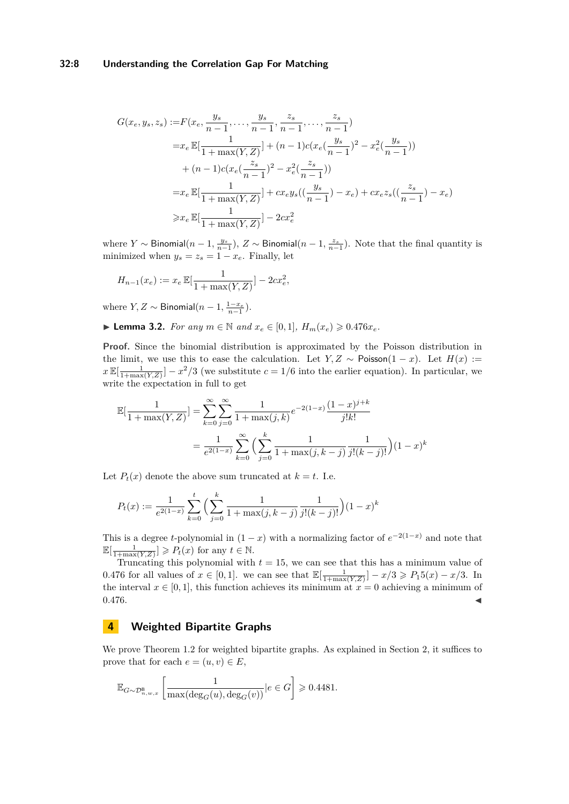## **32:8 Understanding the Correlation Gap For Matching**

$$
G(x_e, y_s, z_s) := F(x_e, \frac{y_s}{n-1}, \dots, \frac{y_s}{n-1}, \frac{z_s}{n-1}, \dots, \frac{z_s}{n-1})
$$
  
\n
$$
= x_e \mathbb{E}[\frac{1}{1 + \max(Y, Z)}] + (n-1)c(x_e(\frac{y_s}{n-1})^2 - x_e^2(\frac{y_s}{n-1}))
$$
  
\n
$$
+ (n-1)c(x_e(\frac{z_s}{n-1})^2 - x_e^2(\frac{z_s}{n-1}))
$$
  
\n
$$
= x_e \mathbb{E}[\frac{1}{1 + \max(Y, Z)}] + cx_e y_s((\frac{y_s}{n-1}) - x_e) + cx_e z_s((\frac{z_s}{n-1}) - x_e)
$$
  
\n
$$
\ge x_e \mathbb{E}[\frac{1}{1 + \max(Y, Z)}] - 2cx_e^2
$$

where *Y* ∼ Binomial( $n-1$ ,  $\frac{y_s}{n-1}$ ), *Z* ∼ Binomial( $n-1$ ,  $\frac{z_s}{n-1}$ ). Note that the final quantity is minimized when  $y_s = z_s = 1 - x_e$ . Finally, let

$$
H_{n-1}(x_e) := x_e \mathbb{E}[\frac{1}{1 + \max(Y, Z)}] - 2cx_e^2,
$$

where  $Y, Z \sim \text{Binomial}(n-1, \frac{1-x_e}{n-1})$ .

<span id="page-7-1"></span>▶ **Lemma 3.2.** *For any*  $m \in \mathbb{N}$  *and*  $x_e \in [0,1]$ *,*  $H_m(x_e) \ge 0.476x_e$ *.* 

**Proof.** Since the binomial distribution is approximated by the Poisson distribution in the limit, we use this to ease the calculation. Let *Y*, *Z* ~ Poisson(1 – *x*). Let  $H(x)$  :=  $x \mathbb{E}[\frac{1}{1+\max(Y,Z)}] - x^2/3$  (we substitute  $c = 1/6$  into the earlier equation). In particular, we write the expectation in full to get

$$
\mathbb{E}[\frac{1}{1 + \max(Y, Z)}] = \sum_{k=0}^{\infty} \sum_{j=0}^{\infty} \frac{1}{1 + \max(j, k)} e^{-2(1-x)} \frac{(1-x)^{j+k}}{j!k!}
$$

$$
= \frac{1}{e^{2(1-x)}} \sum_{k=0}^{\infty} \left(\sum_{j=0}^{k} \frac{1}{1 + \max(j, k-j)} \frac{1}{j!(k-j)!}\right) (1-x)^k
$$

Let  $P_t(x)$  denote the above sum truncated at  $k = t$ . I.e.

$$
P_t(x) := \frac{1}{e^{2(1-x)}} \sum_{k=0}^t \left( \sum_{j=0}^k \frac{1}{1 + \max(j, k - j)} \frac{1}{j!(k - j)!} \right) (1 - x)^k
$$

This is a degree *t*-polynomial in  $(1 - x)$  with a normalizing factor of  $e^{-2(1-x)}$  and note that  $\mathbb{E}[\frac{1}{1+\max(Y,Z)}] \geq P_t(x)$  for any  $t \in \mathbb{N}$ .

Truncating this polynomial with  $t = 15$ , we can see that this has a minimum value of 0.476 for all values of  $x \in [0, 1]$ . we can see that  $\mathbb{E}[\frac{1}{1+\max(Y, Z)}] - x/3 \ge P_1 5(x) - x/3$ . In the interval  $x \in [0,1]$ , this function achieves its minimum at  $x = 0$  achieving a minimum of 0*.*476. J

## <span id="page-7-0"></span>**4 Weighted Bipartite Graphs**

We prove Theorem [1.2](#page-1-3) for weighted bipartite graphs. As explained in Section [2,](#page-3-0) it suffices to prove that for each  $e = (u, v) \in E$ ,

$$
\mathbb{E}_{G \sim \mathcal{D}_{n,w,x}^{\mathbf{B}}} \left[ \frac{1}{\max(\deg_G(u), \deg_G(v))} | e \in G \right] \geqslant 0.4481.
$$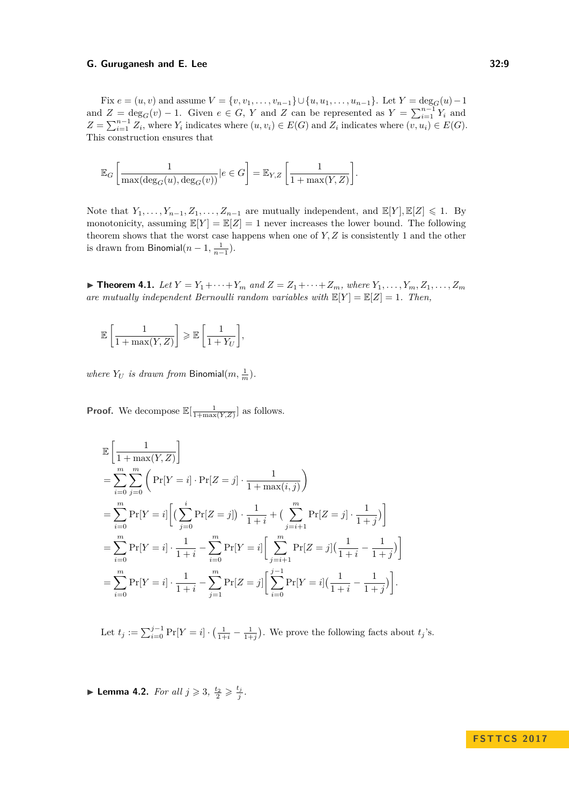Fix  $e = (u, v)$  and assume  $V = \{v, v_1, \ldots, v_{n-1}\} \cup \{u, u_1, \ldots, u_{n-1}\}$ . Let  $Y = \deg_G(u) - 1$ and  $Z = \deg_G(v) - 1$ . Given  $e \in G$ , *Y* and *Z* can be represented as  $Y = \sum_{i=1}^{n-1} Y_i$  and  $Z = \sum_{i=1}^{n-1} Z_i$ , where  $Y_i$  indicates where  $(u, v_i) \in E(G)$  and  $Z_i$  indicates where  $(v, u_i) \in E(G)$ . This construction ensures that

$$
\mathbb{E}_{G}\left[\frac{1}{\max(\deg_G(u),\deg_G(v))}|e\in G\right]=\mathbb{E}_{Y,Z}\left[\frac{1}{1+\max(Y,Z)}\right].
$$

Note that  $Y_1, \ldots, Y_{n-1}, Z_1, \ldots, Z_{n-1}$  are mutually independent, and  $\mathbb{E}[Y], \mathbb{E}[Z] \leq 1$ . By monotonicity, assuming  $\mathbb{E}[Y] = \mathbb{E}[Z] = 1$  never increases the lower bound. The following theorem shows that the worst case happens when one of *Y, Z* is consistently 1 and the other is drawn from Binomial $(n-1, \frac{1}{n-1})$ .

▶ **Theorem 4.1.** *Let*  $Y = Y_1 + \cdots + Y_m$  *and*  $Z = Z_1 + \cdots + Z_m$ *, where*  $Y_1, \ldots, Y_m, Z_1, \ldots, Z_m$ *are mutually independent Bernoulli random variables with*  $\mathbb{E}[Y] = \mathbb{E}[Z] = 1$ *. Then,* 

$$
\mathbb{E}\left[\frac{1}{1+\max(Y,Z)}\right] \geqslant \mathbb{E}\left[\frac{1}{1+Y_U}\right],
$$

*where*  $Y_U$  *is drawn from* Binomial $(m, \frac{1}{m})$ *.* 

**Proof.** We decompose  $\mathbb{E}[\frac{1}{1+\max(Y,Z)}]$  as follows.

$$
\mathbb{E}\left[\frac{1}{1+\max(Y,Z)}\right] \n= \sum_{i=0}^{m} \sum_{j=0}^{m} \left( \Pr[Y=i] \cdot \Pr[Z=j] \cdot \frac{1}{1+\max(i,j)} \right) \n= \sum_{i=0}^{m} \Pr[Y=i] \left[ \left( \sum_{j=0}^{i} \Pr[Z=j] \right) \cdot \frac{1}{1+i} + \left( \sum_{j=i+1}^{m} \Pr[Z=j] \cdot \frac{1}{1+j} \right) \right] \n= \sum_{i=0}^{m} \Pr[Y=i] \cdot \frac{1}{1+i} - \sum_{i=0}^{m} \Pr[Y=i] \left[ \sum_{j=i+1}^{m} \Pr[Z=j] \left( \frac{1}{1+i} - \frac{1}{1+j} \right) \right] \n= \sum_{i=0}^{m} \Pr[Y=i] \cdot \frac{1}{1+i} - \sum_{j=1}^{m} \Pr[Z=j] \left[ \sum_{i=0}^{j-1} \Pr[Y=i] \left( \frac{1}{1+i} - \frac{1}{1+i} \right) \right].
$$

Let  $t_j := \sum_{i=0}^{j-1} \Pr[Y=i] \cdot \left(\frac{1}{1+i} - \frac{1}{1+j}\right)$ . We prove the following facts about  $t_j$ 's.

<span id="page-8-0"></span>**Example 1.2.** *For all*  $j \geqslant 3, \frac{t_2}{2} \geqslant \frac{t_j}{j}$ .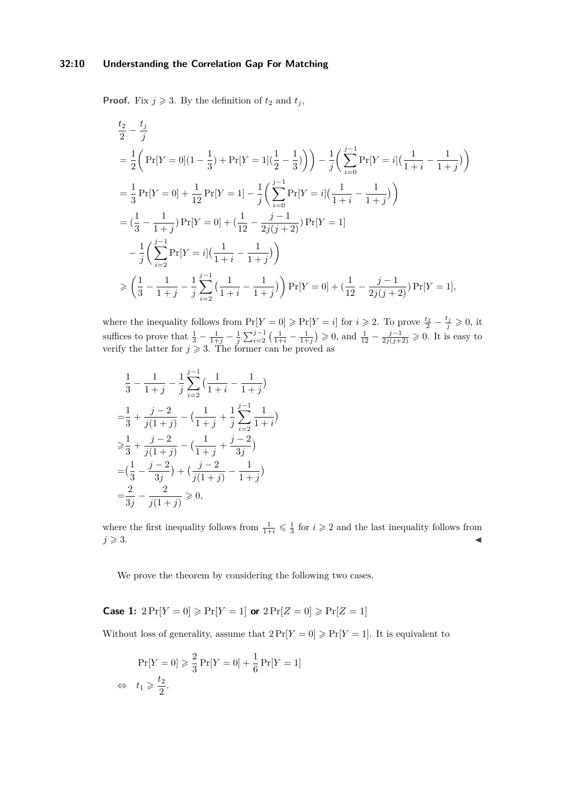## **32:10 Understanding the Correlation Gap For Matching**

**Proof.** Fix  $j \ge 3$ . By the definition of  $t_2$  and  $t_j$ ,

$$
\frac{t_2}{2} - \frac{t_j}{j}
$$
\n
$$
= \frac{1}{2} \left( \Pr[Y=0](1-\frac{1}{3}) + \Pr[Y=1](\frac{1}{2}-\frac{1}{3}) \right) - \frac{1}{j} \left( \sum_{i=0}^{j-1} \Pr[Y=i](\frac{1}{1+i} - \frac{1}{1+j}) \right)
$$
\n
$$
= \frac{1}{3} \Pr[Y=0] + \frac{1}{12} \Pr[Y=1] - \frac{1}{j} \left( \sum_{i=0}^{j-1} \Pr[Y=i](\frac{1}{1+i} - \frac{1}{1+j}) \right)
$$
\n
$$
= (\frac{1}{3} - \frac{1}{1+j}) \Pr[Y=0] + (\frac{1}{12} - \frac{j-1}{2j(j+2)}) \Pr[Y=1]
$$
\n
$$
- \frac{1}{j} \left( \sum_{i=2}^{j-1} \Pr[Y=i](\frac{1}{1+i} - \frac{1}{1+j}) \right)
$$
\n
$$
\geqslant \left( \frac{1}{3} - \frac{1}{1+j} - \frac{1}{j} \sum_{i=2}^{j-1} \left( \frac{1}{1+i} - \frac{1}{1+j} \right) \right) \Pr[Y=0] + (\frac{1}{12} - \frac{j-1}{2j(j+2)}) \Pr[Y=1],
$$

where the inequality follows from  $\Pr[Y=0] \geq \Pr[Y=i]$  for  $i \geq 2$ . To prove  $\frac{t_2}{2} - \frac{t_j}{j} \geqslant 0$ , it suffices to prove that  $\frac{1}{3} - \frac{1}{1+j} - \frac{1}{j} \sum_{i=2}^{j-1} (\frac{1}{1+i} - \frac{1}{1+j}) \geq 0$ , and  $\frac{1}{12} - \frac{j-1}{2j(j+2)} \geq 0$ . It is easy to verify the latter for  $j \geqslant 3$ . The former can be proved as

$$
\frac{1}{3} - \frac{1}{1+j} - \frac{1}{j} \sum_{i=2}^{j-1} \left( \frac{1}{1+i} - \frac{1}{1+j} \right)
$$
  
\n
$$
= \frac{1}{3} + \frac{j-2}{j(1+j)} - \left( \frac{1}{1+j} + \frac{1}{j} \sum_{i=2}^{j-1} \frac{1}{1+i} \right)
$$
  
\n
$$
\geq \frac{1}{3} + \frac{j-2}{j(1+j)} - \left( \frac{1}{1+j} + \frac{j-2}{3j} \right)
$$
  
\n
$$
= \left( \frac{1}{3} - \frac{j-2}{3j} \right) + \left( \frac{j-2}{j(1+j)} - \frac{1}{1+j} \right)
$$
  
\n
$$
= \frac{2}{3j} - \frac{2}{j(1+j)} \geq 0,
$$

where the first inequality follows from  $\frac{1}{1+i} \leqslant \frac{1}{3}$  for  $i \geqslant 2$  and the last inequality follows from  $j \geqslant 3$ .

We prove the theorem by considering the following two cases.

**Case 1:**  $2 Pr[Y = 0] \geqslant Pr[Y = 1]$  or  $2 Pr[Z = 0] \geqslant Pr[Z = 1]$ 

Without loss of generality, assume that  $2 \Pr[Y=0] \ge \Pr[Y=1]$ . It is equivalent to

$$
\Pr[Y=0] \geqslant \frac{2}{3} \Pr[Y=0] + \frac{1}{6} \Pr[Y=1]
$$
  

$$
\Leftrightarrow t_1 \geqslant \frac{t_2}{2}.
$$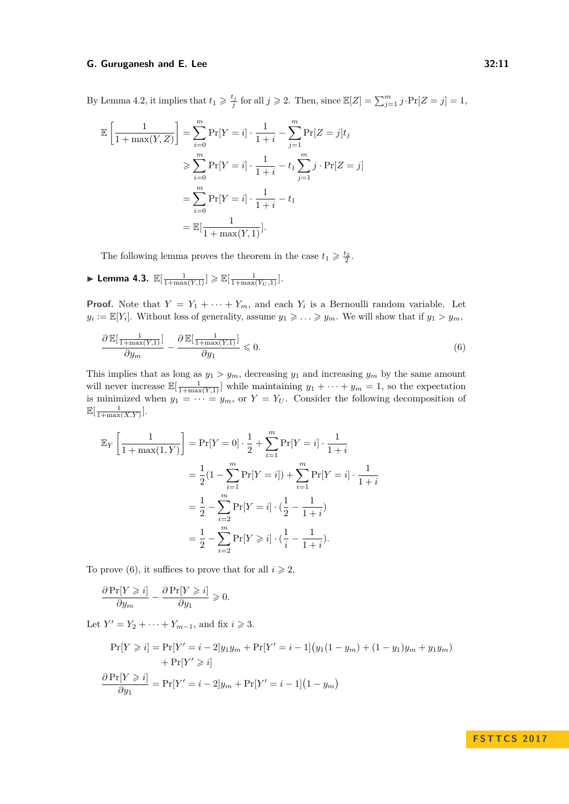By Lemma [4.2,](#page-8-0) it implies that  $t_1 \geqslant \frac{t_j}{j}$  for all  $j \geqslant 2$ . Then, since  $\mathbb{E}[Z] = \sum_{j=1}^m j \cdot \Pr[Z = j] = 1$ ,

$$
\mathbb{E}\left[\frac{1}{1+\max(Y,Z)}\right] = \sum_{i=0}^{m} \Pr[Y=i] \cdot \frac{1}{1+i} - \sum_{j=1}^{m} \Pr[Z=j]t_j
$$
  
\n
$$
\geqslant \sum_{i=0}^{m} \Pr[Y=i] \cdot \frac{1}{1+i} - t_1 \sum_{j=1}^{m} j \cdot \Pr[Z=j]
$$
  
\n
$$
= \sum_{i=0}^{m} \Pr[Y=i] \cdot \frac{1}{1+i} - t_1
$$
  
\n
$$
= \mathbb{E}[\frac{1}{1+\max(Y,1)}].
$$

The following lemma proves the theorem in the case  $t_1 \geq t_2$ .

▶ Lemma 4.3.  $\mathbb{E}[\frac{1}{1+\max(Y,1)}] \geqslant \mathbb{E}[\frac{1}{1+\max(Y_U,1)}].$ 

**Proof.** Note that  $Y = Y_1 + \cdots + Y_m$ , and each  $Y_i$  is a Bernoulli random variable. Let  $y_i := \mathbb{E}[Y_i]$ . Without loss of generality, assume  $y_1 \geqslant \ldots \geqslant y_m$ . We will show that if  $y_1 > y_m$ ,

<span id="page-10-0"></span>
$$
\frac{\partial \mathbb{E}[\frac{1}{1+\max(Y,1)}]}{\partial y_m} - \frac{\partial \mathbb{E}[\frac{1}{1+\max(Y,1)}]}{\partial y_1} \leq 0.
$$
\n
$$
(6)
$$

This implies that as long as  $y_1 > y_m$ , decreasing  $y_1$  and increasing  $y_m$  by the same amount will never increase  $\mathbb{E}[\frac{1}{1+\max(Y,1)}]$  while maintaining  $y_1 + \cdots + y_m = 1$ , so the expectation is minimized when  $y_1 = \cdots = y_m$ , or  $Y = Y_U$ . Consider the following decomposition of  $\mathbb{E}[\frac{1}{1+\max(X,Y)}].$ 

$$
\mathbb{E}_{Y}\left[\frac{1}{1+\max(1,Y)}\right] = \Pr[Y=0] \cdot \frac{1}{2} + \sum_{i=1}^{m} \Pr[Y=i] \cdot \frac{1}{1+i}
$$

$$
= \frac{1}{2}(1 - \sum_{i=1}^{m} \Pr[Y=i]) + \sum_{i=1}^{m} \Pr[Y=i] \cdot \frac{1}{1+i}
$$

$$
= \frac{1}{2} - \sum_{i=2}^{m} \Pr[Y=i] \cdot (\frac{1}{2} - \frac{1}{1+i})
$$

$$
= \frac{1}{2} - \sum_{i=2}^{m} \Pr[Y \ge i] \cdot (\frac{1}{i} - \frac{1}{1+i}).
$$

To prove [\(6\)](#page-10-0), it suffices to prove that for all  $i \geq 2$ ,

$$
\frac{\partial \Pr[Y \geq i]}{\partial y_m} - \frac{\partial \Pr[Y \geq i]}{\partial y_1} \geq 0.
$$

Let  $Y' = Y_2 + \cdots + Y_{m-1}$ , and fix  $i \geq 3$ .

$$
\Pr[Y \ge i] = \Pr[Y' = i - 2]y_1 y_m + \Pr[Y' = i - 1](y_1(1 - y_m) + (1 - y_1)y_m + y_1 y_m) + \Pr[Y' \ge i]
$$
  

$$
\frac{\partial \Pr[Y \ge i]}{\partial y_1} = \Pr[Y' = i - 2]y_m + \Pr[Y' = i - 1](1 - y_m)
$$

## **F S T T C S 2 0 1 7**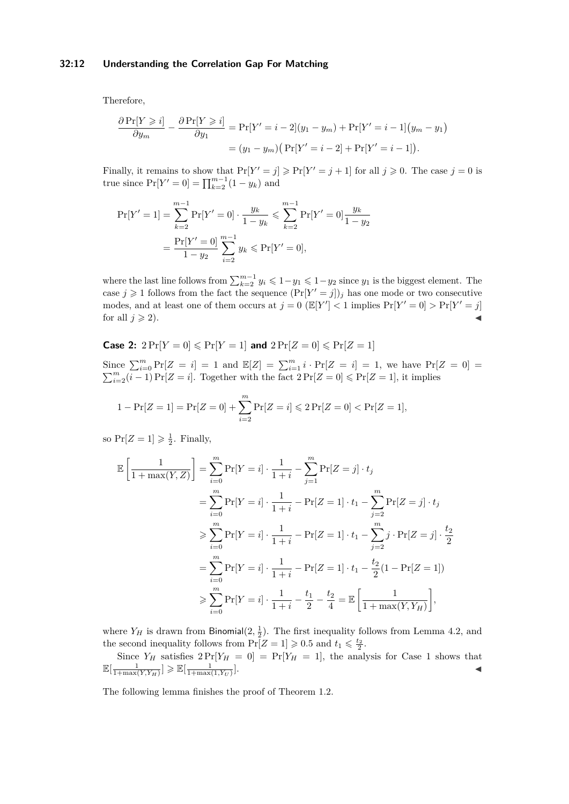### **32:12 Understanding the Correlation Gap For Matching**

Therefore,

$$
\frac{\partial \Pr[Y \ge i]}{\partial y_m} - \frac{\partial \Pr[Y \ge i]}{\partial y_1} = \Pr[Y' = i - 2](y_1 - y_m) + \Pr[Y' = i - 1](y_m - y_1)
$$

$$
= (y_1 - y_m) (\Pr[Y' = i - 2] + \Pr[Y' = i - 1]).
$$

Finally, it remains to show that  $Pr[Y' = j] \geqslant Pr[Y' = j + 1]$  for all  $j \geqslant 0$ . The case  $j = 0$  is true since  $Pr[Y' = 0] = \prod_{k=2}^{m-1} (1 - y_k)$  and

$$
\Pr[Y'=1] = \sum_{k=2}^{m-1} \Pr[Y'=0] \cdot \frac{y_k}{1-y_k} \le \sum_{k=2}^{m-1} \Pr[Y'=0] \frac{y_k}{1-y_2}
$$

$$
= \frac{\Pr[Y'=0]}{1-y_2} \sum_{i=2}^{m-1} y_k \le \Pr[Y'=0],
$$

where the last line follows from  $\sum_{k=2}^{m-1} y_i \leq 1-y_1 \leq 1-y_2$  since  $y_1$  is the biggest element. The case  $j \geq 1$  follows from the fact the sequence  $(\Pr[Y' = j])_j$  has one mode or two consecutive modes, and at least one of them occurs at  $j = 0$  ( $\mathbb{E}[Y'] < 1$  implies  $Pr[Y' = 0] > Pr[Y' = j]$ for all  $j \geqslant 2$ .

**Case 2:**  $2Pr[Y = 0] \leq Pr[Y = 1]$  and  $2Pr[Z = 0] \leq Pr[Z = 1]$ 

Since  $\sum_{i=0}^{m} Pr[Z = i] = 1$  and  $\mathbb{E}[Z] = \sum_{i=1}^{m} i \cdot Pr[Z = i] = 1$ , we have  $Pr[Z = 0] =$  $\sum_{i=2}^{m}$  *i* $\overline{i}$  = *i*) Pr[*Z* = *i*]. Together with the fact  $2 \Pr[Z = 0] \leqslant \Pr[Z = 1]$ , it implies

$$
1 - \Pr[Z = 1] = \Pr[Z = 0] + \sum_{i=2}^{m} \Pr[Z = i] \leqslant 2\Pr[Z = 0] < \Pr[Z = 1],
$$

so  $Pr[Z = 1] \geqslant \frac{1}{2}$ . Finally,

$$
\mathbb{E}\left[\frac{1}{1+\max(Y,Z)}\right] = \sum_{i=0}^{m} \Pr[Y=i] \cdot \frac{1}{1+i} - \sum_{j=1}^{m} \Pr[Z=j] \cdot t_j
$$
  
\n
$$
= \sum_{i=0}^{m} \Pr[Y=i] \cdot \frac{1}{1+i} - \Pr[Z=1] \cdot t_1 - \sum_{j=2}^{m} \Pr[Z=j] \cdot t_j
$$
  
\n
$$
\geqslant \sum_{i=0}^{m} \Pr[Y=i] \cdot \frac{1}{1+i} - \Pr[Z=1] \cdot t_1 - \sum_{j=2}^{m} j \cdot \Pr[Z=j] \cdot \frac{t_2}{2}
$$
  
\n
$$
= \sum_{i=0}^{m} \Pr[Y=i] \cdot \frac{1}{1+i} - \Pr[Z=1] \cdot t_1 - \frac{t_2}{2} (1 - \Pr[Z=1])
$$
  
\n
$$
\geqslant \sum_{i=0}^{m} \Pr[Y=i] \cdot \frac{1}{1+i} - \frac{t_1}{2} - \frac{t_2}{4} = \mathbb{E}\left[\frac{1}{1+\max(Y,Y_H)}\right],
$$

where  $Y_H$  is drawn from Binomial $(2, \frac{1}{2})$ . The first inequality follows from Lemma [4.2,](#page-8-0) and the second inequality follows from  $\Pr[Z = 1] \geq 0.5$  and  $t_1 \leq \frac{t_2}{2}$ .

Since  $Y_H$  satisfies  $2Pr[Y_H = 0] = Pr[Y_H = 1]$ , the analysis for Case 1 shows that  $\mathbb{E}[\frac{1}{1+\max(Y,Y_H)}] \geq \mathbb{E}[\frac{1}{1+\max(1,Y_U)}].$ 

The following lemma finishes the proof of Theorem [1.2.](#page-1-3)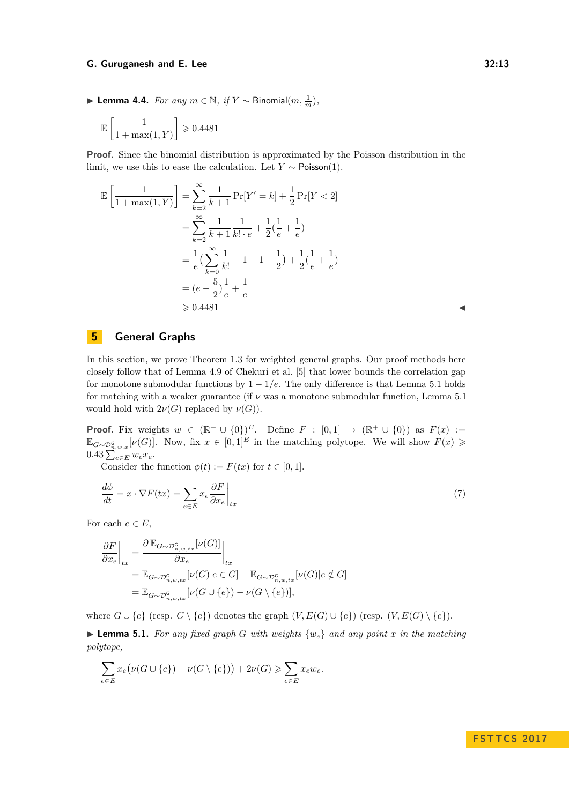▶ Lemma 4.4. *For any*  $m \in \mathbb{N}$ , *if*  $Y \sim \text{Binomial}(m, \frac{1}{m})$ ,

$$
\mathbb{E}\left[\frac{1}{1+\max(1,Y)}\right] \geqslant 0.4481
$$

**Proof.** Since the binomial distribution is approximated by the Poisson distribution in the limit, we use this to ease the calculation. Let *Y*  $\sim$  Poisson(1).

$$
\mathbb{E}\left[\frac{1}{1+\max(1,Y)}\right] = \sum_{k=2}^{\infty} \frac{1}{k+1} \Pr[Y'=k] + \frac{1}{2} \Pr[Y<2]
$$

$$
= \sum_{k=2}^{\infty} \frac{1}{k+1} \frac{1}{k! \cdot e} + \frac{1}{2} (\frac{1}{e} + \frac{1}{e})
$$

$$
= \frac{1}{e} \left(\sum_{k=0}^{\infty} \frac{1}{k!} - 1 - 1 - \frac{1}{2}\right) + \frac{1}{2} (\frac{1}{e} + \frac{1}{e})
$$

$$
= (e - \frac{5}{2})\frac{1}{e} + \frac{1}{e}
$$

$$
\geq 0.4481
$$

## <span id="page-12-0"></span>**5 General Graphs**

In this section, we prove Theorem [1.3](#page-1-2) for weighted general graphs. Our proof methods here closely follow that of Lemma 4.9 of Chekuri et al. [\[5\]](#page-14-2) that lower bounds the correlation gap for monotone submodular functions by  $1 - 1/e$ . The only difference is that Lemma [5.1](#page-12-1) holds for matching with a weaker guarantee (if *ν* was a monotone submodular function, Lemma [5.1](#page-12-1) would hold with  $2\nu(G)$  replaced by  $\nu(G)$ ).

**Proof.** Fix weights  $w \in (\mathbb{R}^+ \cup \{0\})^E$ . Define  $F : [0,1] \to (\mathbb{R}^+ \cup \{0\})$  as  $F(x) :=$  $\mathbb{E}_{G \sim \mathcal{D}_{n,w,x}^{\mathsf{G}}}[ \nu(G)]$ . Now, fix  $x \in [0,1]^E$  in the matching polytope. We will show  $F(x) ≥$  $0.43\sum_{e\in E}w_ex_e.$ 

<span id="page-12-2"></span>Consider the function  $\phi(t) := F(tx)$  for  $t \in [0, 1]$ .

$$
\frac{d\phi}{dt} = x \cdot \nabla F(tx) = \sum_{e \in E} x_e \frac{\partial F}{\partial x_e} \bigg|_{tx} \tag{7}
$$

For each  $e \in E$ ,

$$
\frac{\partial F}{\partial x_e}\Big|_{tx} = \frac{\partial \mathbb{E}_{G \sim \mathcal{D}_{n,w,tx}^{\mathsf{G}}}[\nu(G)]}{\partial x_e}\Big|_{tx}
$$
  
=  $\mathbb{E}_{G \sim \mathcal{D}_{n,w,tx}^{\mathsf{G}}}[\nu(G)|e \in G] - \mathbb{E}_{G \sim \mathcal{D}_{n,w,tx}^{\mathsf{G}}}[\nu(G)|e \notin G]$   
=  $\mathbb{E}_{G \sim \mathcal{D}_{n,w,tx}^{\mathsf{G}}}[\nu(G \cup \{e\}) - \nu(G \setminus \{e\})],$ 

where  $G \cup \{e\}$  (resp.  $G \setminus \{e\}$ ) denotes the graph  $(V, E(G) \cup \{e\})$  (resp.  $(V, E(G) \setminus \{e\})$ .

<span id="page-12-1"></span> $\blacktriangleright$  **Lemma 5.1.** For any fixed graph *G* with weights  $\{w_e\}$  and any point *x* in the matching *polytope,*

$$
\sum_{e \in E} x_e \big( \nu(G \cup \{e\}) - \nu(G \setminus \{e\}) \big) + 2\nu(G) \geqslant \sum_{e \in E} x_e w_e.
$$

## **F S T T C S 2 0 1 7**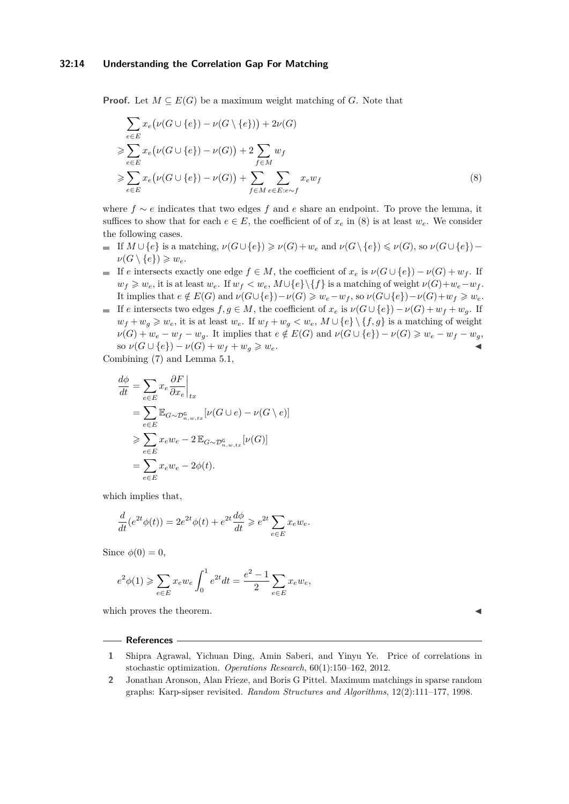### **32:14 Understanding the Correlation Gap For Matching**

**Proof.** Let  $M \subseteq E(G)$  be a maximum weight matching of *G*. Note that

<span id="page-13-2"></span>
$$
\sum_{e \in E} x_e (\nu(G \cup \{e\}) - \nu(G \setminus \{e\})) + 2\nu(G)
$$
\n
$$
\geqslant \sum_{e \in E} x_e (\nu(G \cup \{e\}) - \nu(G)) + 2 \sum_{f \in M} w_f
$$
\n
$$
\geqslant \sum_{e \in E} x_e (\nu(G \cup \{e\}) - \nu(G)) + \sum_{f \in M} \sum_{e \in E: e \sim f} x_e w_f
$$
\n(8)

where *f* ∼ *e* indicates that two edges *f* and *e* share an endpoint. To prove the lemma, it suffices to show that for each  $e \in E$ , the coefficient of of  $x_e$  in [\(8\)](#page-13-2) is at least  $w_e$ . We consider the following cases.

- $\blacksquare$  If  $M \cup \{e\}$  is a matching,  $\nu(G \cup \{e\}) \geq \nu(G) + w_e$  and  $\nu(G \setminus \{e\}) \leq \nu(G)$ , so  $\nu(G \cup \{e\}) \nu(G \setminus \{e\}) \geqslant w_e.$
- If *e* intersects exactly one edge  $f \in M$ , the coefficient of  $x_e$  is  $\nu(G \cup \{e\}) \nu(G) + w_f$ . If  $w_f \geqslant w_e$ , it is at least  $w_e$ . If  $w_f < w_e$ ,  $M \cup \{e\} \setminus \{f\}$  is a matching of weight  $\nu(G) + w_e - w_f$ . It implies that  $e \notin E(G)$  and  $\nu(G \cup \{e\}) - \nu(G) \geqslant w_e - w_f$ , so  $\nu(G \cup \{e\}) - \nu(G) + w_f \geqslant w_e$ .
- If *e* intersects two edges  $f, g \in M$ , the coefficient of  $x_e$  is  $\nu(G \cup \{e\}) \nu(G) + w_f + w_g$ . If  $w_f + w_g \geq w_e$ , it is at least  $w_e$ . If  $w_f + w_g < w_e$ ,  $M \cup \{e\} \setminus \{f, g\}$  is a matching of weight  $\nu(G) + w_e - w_f - w_g$ . It implies that  $e \notin E(G)$  and  $\nu(G \cup \{e\}) - \nu(G) \geq w_e - w_f - w_g$ , so  $\nu(G \cup \{e\}) - \nu(G) + w_f + w_g \geqslant w_e$ .

Combining [\(7\)](#page-12-2) and Lemma [5.1,](#page-12-1)

$$
\frac{d\phi}{dt} = \sum_{e \in E} x_e \frac{\partial F}{\partial x_e} \Big|_{tx}
$$
  
= 
$$
\sum_{e \in E} \mathbb{E}_{G \sim \mathcal{D}_{n,w,tx}^{\mathsf{G}}} [\nu(G \cup e) - \nu(G \setminus e)]
$$
  

$$
\geqslant \sum_{e \in E} x_e w_e - 2 \mathbb{E}_{G \sim \mathcal{D}_{n,w,tx}^{\mathsf{G}}} [\nu(G)]
$$
  
= 
$$
\sum_{e \in E} x_e w_e - 2\phi(t).
$$

which implies that,

$$
\frac{d}{dt}(e^{2t}\phi(t)) = 2e^{2t}\phi(t) + e^{2t}\frac{d\phi}{dt} \ge e^{2t}\sum_{e \in E} x_e w_e.
$$

Since  $\phi(0) = 0$ ,

$$
e^2\phi(1) \ge \sum_{e \in E} x_e w_e \int_0^1 e^{2t} dt = \frac{e^2 - 1}{2} \sum_{e \in E} x_e w_e,
$$

which proves the theorem.

#### **References**

- <span id="page-13-0"></span>**1** Shipra Agrawal, Yichuan Ding, Amin Saberi, and Yinyu Ye. Price of correlations in stochastic optimization. *Operations Research*, 60(1):150–162, 2012.
- <span id="page-13-1"></span>**2** Jonathan Aronson, Alan Frieze, and Boris G Pittel. Maximum matchings in sparse random graphs: Karp-sipser revisited. *Random Structures and Algorithms*, 12(2):111–177, 1998.